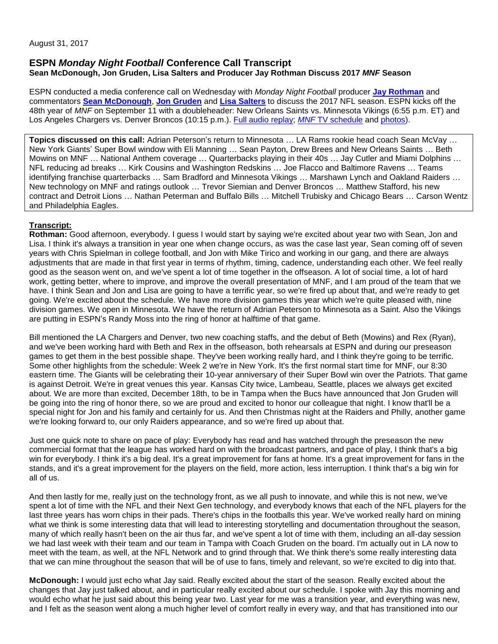### **ESPN** *Monday Night Football* **Conference Call Transcript Sean McDonough, Jon Gruden, Lisa Salters and Producer Jay Rothman Discuss 2017** *MNF* **Season**

ESPN conducted a media conference call on Wednesday with *Monday Night Football* producer **[Jay Rothman](http://espnmediazone.com/us/bios/jay-rothman/)** and commentators **[Sean McDonough](http://espnmediazone.com/us/bios/mcdonough_sean/)**, **[Jon Gruden](http://espnmediazone.com/us/bios/gruden_jon/)** and **[Lisa Salters](http://espnmediazone.com/us/bios/salters_lisa/)** to discuss the 2017 NFL season. ESPN kicks off the 48th year of *MNF* on September 11 with a doubleheader: New Orleans Saints vs. Minnesota Vikings (6:55 p.m. ET) and Los Angeles Chargers vs. Denver Broncos (10:15 p.m.). [Full audio replay;](http://www.espn.com/espnradio/play?id=20518126) *MNF* [TV schedule](http://espnmediazone.com/us/press-releases/2017/04/espns-2017-monday-night-football-schedule/) and [photos\)](https://library.espnimages.com/?c=1632&k=e45c7f5719).

**Topics discussed on this call:** Adrian Peterson's return to Minnesota … LA Rams rookie head coach Sean McVay … New York Giants' Super Bowl window with Eli Manning … Sean Payton, Drew Brees and New Orleans Saints … Beth Mowins on MNF … National Anthem coverage … Quarterbacks playing in their 40s … Jay Cutler and Miami Dolphins … NFL reducing ad breaks … Kirk Cousins and Washington Redskins … Joe Flacco and Baltimore Ravens … Teams identifying franchise quarterbacks … Sam Bradford and Minnesota Vikings … Marshawn Lynch and Oakland Raiders … New technology on MNF and ratings outlook … Trevor Siemian and Denver Broncos … Matthew Stafford, his new contract and Detroit Lions … Nathan Peterman and Buffalo Bills … Mitchell Trubisky and Chicago Bears … Carson Wentz and Philadelphia Eagles.

# **Transcript:**

**Rothman:** Good afternoon, everybody. I guess I would start by saying we're excited about year two with Sean, Jon and Lisa. I think it's always a transition in year one when change occurs, as was the case last year, Sean coming off of seven years with Chris Spielman in college football, and Jon with Mike Tirico and working in our gang, and there are always adjustments that are made in that first year in terms of rhythm, timing, cadence, understanding each other. We feel really good as the season went on, and we've spent a lot of time together in the offseason. A lot of social time, a lot of hard work, getting better, where to improve, and improve the overall presentation of MNF, and I am proud of the team that we have. I think Sean and Jon and Lisa are going to have a terrific year, so we're fired up about that, and we're ready to get going. We're excited about the schedule. We have more division games this year which we're quite pleased with, nine division games. We open in Minnesota. We have the return of Adrian Peterson to Minnesota as a Saint. Also the Vikings are putting in ESPN's Randy Moss into the ring of honor at halftime of that game.

Bill mentioned the LA Chargers and Denver, two new coaching staffs, and the debut of Beth (Mowins) and Rex (Ryan), and we've been working hard with Beth and Rex in the offseason, both rehearsals at ESPN and during our preseason games to get them in the best possible shape. They've been working really hard, and I think they're going to be terrific. Some other highlights from the schedule: Week 2 we're in New York. It's the first normal start time for MNF, our 8:30 eastern time. The Giants will be celebrating their 10-year anniversary of their Super Bowl win over the Patriots. That game is against Detroit. We're in great venues this year. Kansas City twice, Lambeau, Seattle, places we always get excited about. We are more than excited, December 18th, to be in Tampa when the Bucs have announced that Jon Gruden will be going into the ring of honor there, so we are proud and excited to honor our colleague that night. I know that'll be a special night for Jon and his family and certainly for us. And then Christmas night at the Raiders and Philly, another game we're looking forward to, our only Raiders appearance, and so we're fired up about that.

Just one quick note to share on pace of play: Everybody has read and has watched through the preseason the new commercial format that the league has worked hard on with the broadcast partners, and pace of play, I think that's a big win for everybody. I think it's a big deal. It's a great improvement for fans at home. It's a great improvement for fans in the stands, and it's a great improvement for the players on the field, more action, less interruption. I think that's a big win for all of us.

And then lastly for me, really just on the technology front, as we all push to innovate, and while this is not new, we've spent a lot of time with the NFL and their Next Gen technology, and everybody knows that each of the NFL players for the last three years has worn chips in their pads. There's chips in the footballs this year. We've worked really hard on mining what we think is some interesting data that will lead to interesting storytelling and documentation throughout the season, many of which really hasn't been on the air thus far, and we've spent a lot of time with them, including an all-day session we had last week with their team and our team in Tampa with Coach Gruden on the board. I'm actually out in LA now to meet with the team, as well, at the NFL Network and to grind through that. We think there's some really interesting data that we can mine throughout the season that will be of use to fans, timely and relevant, so we're excited to dig into that.

**McDonough:** I would just echo what Jay said. Really excited about the start of the season. Really excited about the changes that Jay just talked about, and in particular really excited about our schedule. I spoke with Jay this morning and would echo what he just said about this being year two. Last year for me was a transition year, and everything was new, and I felt as the season went along a much higher level of comfort really in every way, and that has transitioned into our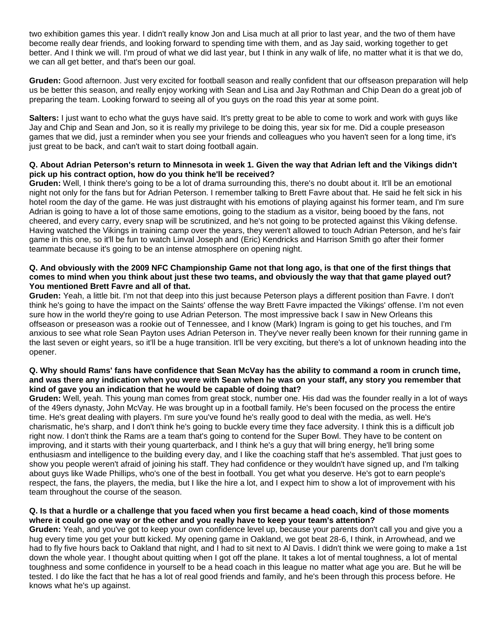two exhibition games this year. I didn't really know Jon and Lisa much at all prior to last year, and the two of them have become really dear friends, and looking forward to spending time with them, and as Jay said, working together to get better. And I think we will. I'm proud of what we did last year, but I think in any walk of life, no matter what it is that we do, we can all get better, and that's been our goal.

**Gruden:** Good afternoon. Just very excited for football season and really confident that our offseason preparation will help us be better this season, and really enjoy working with Sean and Lisa and Jay Rothman and Chip Dean do a great job of preparing the team. Looking forward to seeing all of you guys on the road this year at some point.

**Salters:** I just want to echo what the guys have said. It's pretty great to be able to come to work and work with guys like Jay and Chip and Sean and Jon, so it is really my privilege to be doing this, year six for me. Did a couple preseason games that we did, just a reminder when you see your friends and colleagues who you haven't seen for a long time, it's just great to be back, and can't wait to start doing football again.

### **Q. About Adrian Peterson's return to Minnesota in week 1. Given the way that Adrian left and the Vikings didn't pick up his contract option, how do you think he'll be received?**

**Gruden:** Well, I think there's going to be a lot of drama surrounding this, there's no doubt about it. It'll be an emotional night not only for the fans but for Adrian Peterson. I remember talking to Brett Favre about that. He said he felt sick in his hotel room the day of the game. He was just distraught with his emotions of playing against his former team, and I'm sure Adrian is going to have a lot of those same emotions, going to the stadium as a visitor, being booed by the fans, not cheered, and every carry, every snap will be scrutinized, and he's not going to be protected against this Viking defense. Having watched the Vikings in training camp over the years, they weren't allowed to touch Adrian Peterson, and he's fair game in this one, so it'll be fun to watch Linval Joseph and (Eric) Kendricks and Harrison Smith go after their former teammate because it's going to be an intense atmosphere on opening night.

#### **Q. And obviously with the 2009 NFC Championship Game not that long ago, is that one of the first things that comes to mind when you think about just these two teams, and obviously the way that that game played out? You mentioned Brett Favre and all of that.**

**Gruden:** Yeah, a little bit. I'm not that deep into this just because Peterson plays a different position than Favre. I don't think he's going to have the impact on the Saints' offense the way Brett Favre impacted the Vikings' offense. I'm not even sure how in the world they're going to use Adrian Peterson. The most impressive back I saw in New Orleans this offseason or preseason was a rookie out of Tennessee, and I know (Mark) Ingram is going to get his touches, and I'm anxious to see what role Sean Payton uses Adrian Peterson in. They've never really been known for their running game in the last seven or eight years, so it'll be a huge transition. It'll be very exciting, but there's a lot of unknown heading into the opener.

#### **Q. Why should Rams' fans have confidence that Sean McVay has the ability to command a room in crunch time, and was there any indication when you were with Sean when he was on your staff, any story you remember that kind of gave you an indication that he would be capable of doing that?**

**Gruden:** Well, yeah. This young man comes from great stock, number one. His dad was the founder really in a lot of ways of the 49ers dynasty, John McVay. He was brought up in a football family. He's been focused on the process the entire time. He's great dealing with players. I'm sure you've found he's really good to deal with the media, as well. He's charismatic, he's sharp, and I don't think he's going to buckle every time they face adversity. I think this is a difficult job right now. I don't think the Rams are a team that's going to contend for the Super Bowl. They have to be content on improving, and it starts with their young quarterback, and I think he's a guy that will bring energy, he'll bring some enthusiasm and intelligence to the building every day, and I like the coaching staff that he's assembled. That just goes to show you people weren't afraid of joining his staff. They had confidence or they wouldn't have signed up, and I'm talking about guys like Wade Phillips, who's one of the best in football. You get what you deserve. He's got to earn people's respect, the fans, the players, the media, but I like the hire a lot, and I expect him to show a lot of improvement with his team throughout the course of the season.

### **Q. Is that a hurdle or a challenge that you faced when you first became a head coach, kind of those moments where it could go one way or the other and you really have to keep your team's attention?**

**Gruden:** Yeah, and you've got to keep your own confidence level up, because your parents don't call you and give you a hug every time you get your butt kicked. My opening game in Oakland, we got beat 28-6, I think, in Arrowhead, and we had to fly five hours back to Oakland that night, and I had to sit next to Al Davis. I didn't think we were going to make a 1st down the whole year. I thought about quitting when I got off the plane. It takes a lot of mental toughness, a lot of mental toughness and some confidence in yourself to be a head coach in this league no matter what age you are. But he will be tested. I do like the fact that he has a lot of real good friends and family, and he's been through this process before. He knows what he's up against.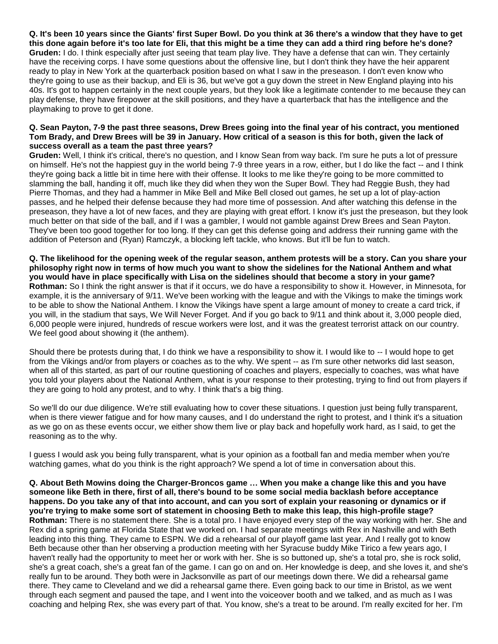**Q. It's been 10 years since the Giants' first Super Bowl. Do you think at 36 there's a window that they have to get this done again before it's too late for Eli, that this might be a time they can add a third ring before he's done? Gruden:** I do. I think especially after just seeing that team play live. They have a defense that can win. They certainly have the receiving corps. I have some questions about the offensive line, but I don't think they have the heir apparent ready to play in New York at the quarterback position based on what I saw in the preseason. I don't even know who they're going to use as their backup, and Eli is 36, but we've got a guy down the street in New England playing into his 40s. It's got to happen certainly in the next couple years, but they look like a legitimate contender to me because they can play defense, they have firepower at the skill positions, and they have a quarterback that has the intelligence and the playmaking to prove to get it done.

### **Q. Sean Payton, 7-9 the past three seasons, Drew Brees going into the final year of his contract, you mentioned Tom Brady, and Drew Brees will be 39 in January. How critical of a season is this for both, given the lack of success overall as a team the past three years?**

**Gruden:** Well, I think it's critical, there's no question, and I know Sean from way back. I'm sure he puts a lot of pressure on himself. He's not the happiest guy in the world being 7-9 three years in a row, either, but I do like the fact -- and I think they're going back a little bit in time here with their offense. It looks to me like they're going to be more committed to slamming the ball, handing it off, much like they did when they won the Super Bowl. They had Reggie Bush, they had Pierre Thomas, and they had a hammer in Mike Bell and Mike Bell closed out games, he set up a lot of play-action passes, and he helped their defense because they had more time of possession. And after watching this defense in the preseason, they have a lot of new faces, and they are playing with great effort. I know it's just the preseason, but they look much better on that side of the ball, and if I was a gambler, I would not gamble against Drew Brees and Sean Payton. They've been too good together for too long. If they can get this defense going and address their running game with the addition of Peterson and (Ryan) Ramczyk, a blocking left tackle, who knows. But it'll be fun to watch.

**Q. The likelihood for the opening week of the regular season, anthem protests will be a story. Can you share your philosophy right now in terms of how much you want to show the sidelines for the National Anthem and what you would have in place specifically with Lisa on the sidelines should that become a story in your game? Rothman:** So I think the right answer is that if it occurs, we do have a responsibility to show it. However, in Minnesota, for example, it is the anniversary of 9/11. We've been working with the league and with the Vikings to make the timings work to be able to show the National Anthem. I know the Vikings have spent a large amount of money to create a card trick, if you will, in the stadium that says, We Will Never Forget. And if you go back to 9/11 and think about it, 3,000 people died, 6,000 people were injured, hundreds of rescue workers were lost, and it was the greatest terrorist attack on our country. We feel good about showing it (the anthem).

Should there be protests during that, I do think we have a responsibility to show it. I would like to -- I would hope to get from the Vikings and/or from players or coaches as to the why. We spent -- as I'm sure other networks did last season, when all of this started, as part of our routine questioning of coaches and players, especially to coaches, was what have you told your players about the National Anthem, what is your response to their protesting, trying to find out from players if they are going to hold any protest, and to why. I think that's a big thing.

So we'll do our due diligence. We're still evaluating how to cover these situations. I question just being fully transparent, when is there viewer fatigue and for how many causes, and I do understand the right to protest, and I think it's a situation as we go on as these events occur, we either show them live or play back and hopefully work hard, as I said, to get the reasoning as to the why.

I guess I would ask you being fully transparent, what is your opinion as a football fan and media member when you're watching games, what do you think is the right approach? We spend a lot of time in conversation about this.

**Q. About Beth Mowins doing the Charger-Broncos game … When you make a change like this and you have someone like Beth in there, first of all, there's bound to be some social media backlash before acceptance happens. Do you take any of that into account, and can you sort of explain your reasoning or dynamics or if you're trying to make some sort of statement in choosing Beth to make this leap, this high-profile stage? Rothman:** There is no statement there. She is a total pro. I have enjoyed every step of the way working with her. She and Rex did a spring game at Florida State that we worked on. I had separate meetings with Rex in Nashville and with Beth leading into this thing. They came to ESPN. We did a rehearsal of our playoff game last year. And I really got to know Beth because other than her observing a production meeting with her Syracuse buddy Mike Tirico a few years ago, I haven't really had the opportunity to meet her or work with her. She is so buttoned up, she's a total pro, she is rock solid, she's a great coach, she's a great fan of the game. I can go on and on. Her knowledge is deep, and she loves it, and she's really fun to be around. They both were in Jacksonville as part of our meetings down there. We did a rehearsal game there. They came to Cleveland and we did a rehearsal game there. Even going back to our time in Bristol, as we went through each segment and paused the tape, and I went into the voiceover booth and we talked, and as much as I was coaching and helping Rex, she was every part of that. You know, she's a treat to be around. I'm really excited for her. I'm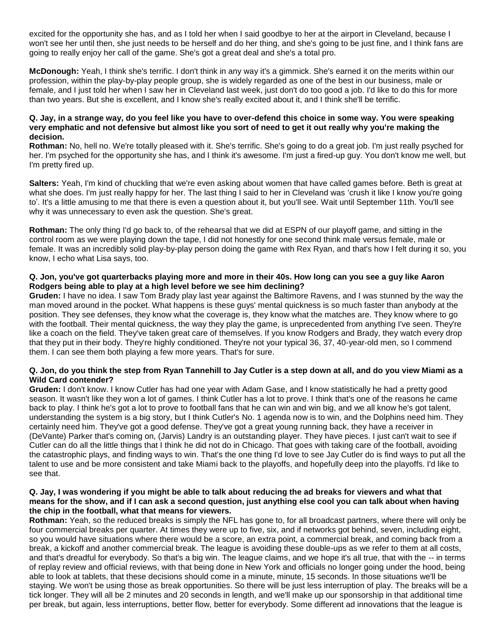excited for the opportunity she has, and as I told her when I said goodbye to her at the airport in Cleveland, because I won't see her until then, she just needs to be herself and do her thing, and she's going to be just fine, and I think fans are going to really enjoy her call of the game. She's got a great deal and she's a total pro.

**McDonough:** Yeah, I think she's terrific. I don't think in any way it's a gimmick. She's earned it on the merits within our profession, within the play-by-play people group, she is widely regarded as one of the best in our business, male or female, and I just told her when I saw her in Cleveland last week, just don't do too good a job. I'd like to do this for more than two years. But she is excellent, and I know she's really excited about it, and I think she'll be terrific.

#### **Q. Jay, in a strange way, do you feel like you have to over-defend this choice in some way. You were speaking very emphatic and not defensive but almost like you sort of need to get it out really why you're making the decision.**

**Rothman:** No, hell no. We're totally pleased with it. She's terrific. She's going to do a great job. I'm just really psyched for her. I'm psyched for the opportunity she has, and I think it's awesome. I'm just a fired-up guy. You don't know me well, but I'm pretty fired up.

**Salters:** Yeah, I'm kind of chuckling that we're even asking about women that have called games before. Beth is great at what she does. I'm just really happy for her. The last thing I said to her in Cleveland was 'crush it like I know you're going to'. It's a little amusing to me that there is even a question about it, but you'll see. Wait until September 11th. You'll see why it was unnecessary to even ask the question. She's great.

**Rothman:** The only thing I'd go back to, of the rehearsal that we did at ESPN of our playoff game, and sitting in the control room as we were playing down the tape, I did not honestly for one second think male versus female, male or female. It was an incredibly solid play-by-play person doing the game with Rex Ryan, and that's how I felt during it so, you know, I echo what Lisa says, too.

### **Q. Jon, you've got quarterbacks playing more and more in their 40s. How long can you see a guy like Aaron Rodgers being able to play at a high level before we see him declining?**

**Gruden:** I have no idea. I saw Tom Brady play last year against the Baltimore Ravens, and I was stunned by the way the man moved around in the pocket. What happens is these guys' mental quickness is so much faster than anybody at the position. They see defenses, they know what the coverage is, they know what the matches are. They know where to go with the football. Their mental quickness, the way they play the game, is unprecedented from anything I've seen. They're like a coach on the field. They've taken great care of themselves. If you know Rodgers and Brady, they watch every drop that they put in their body. They're highly conditioned. They're not your typical 36, 37, 40-year-old men, so I commend them. I can see them both playing a few more years. That's for sure.

### **Q. Jon, do you think the step from Ryan Tannehill to Jay Cutler is a step down at all, and do you view Miami as a Wild Card contender?**

**Gruden:** I don't know. I know Cutler has had one year with Adam Gase, and I know statistically he had a pretty good season. It wasn't like they won a lot of games. I think Cutler has a lot to prove. I think that's one of the reasons he came back to play. I think he's got a lot to prove to football fans that he can win and win big, and we all know he's got talent, understanding the system is a big story, but I think Cutler's No. 1 agenda now is to win, and the Dolphins need him. They certainly need him. They've got a good defense. They've got a great young running back, they have a receiver in (DeVante) Parker that's coming on, (Jarvis) Landry is an outstanding player. They have pieces. I just can't wait to see if Cutler can do all the little things that I think he did not do in Chicago. That goes with taking care of the football, avoiding the catastrophic plays, and finding ways to win. That's the one thing I'd love to see Jay Cutler do is find ways to put all the talent to use and be more consistent and take Miami back to the playoffs, and hopefully deep into the playoffs. I'd like to see that.

### **Q. Jay, I was wondering if you might be able to talk about reducing the ad breaks for viewers and what that means for the show, and if I can ask a second question, just anything else cool you can talk about when having the chip in the football, what that means for viewers.**

**Rothman:** Yeah, so the reduced breaks is simply the NFL has gone to, for all broadcast partners, where there will only be four commercial breaks per quarter. At times they were up to five, six, and if networks got behind, seven, including eight, so you would have situations where there would be a score, an extra point, a commercial break, and coming back from a break, a kickoff and another commercial break. The league is avoiding these double-ups as we refer to them at all costs, and that's dreadful for everybody. So that's a big win. The league claims, and we hope it's all true, that with the -- in terms of replay review and official reviews, with that being done in New York and officials no longer going under the hood, being able to look at tablets, that these decisions should come in a minute, minute, 15 seconds. In those situations we'll be staying. We won't be using those as break opportunities. So there will be just less interruption of play. The breaks will be a tick longer. They will all be 2 minutes and 20 seconds in length, and we'll make up our sponsorship in that additional time per break, but again, less interruptions, better flow, better for everybody. Some different ad innovations that the league is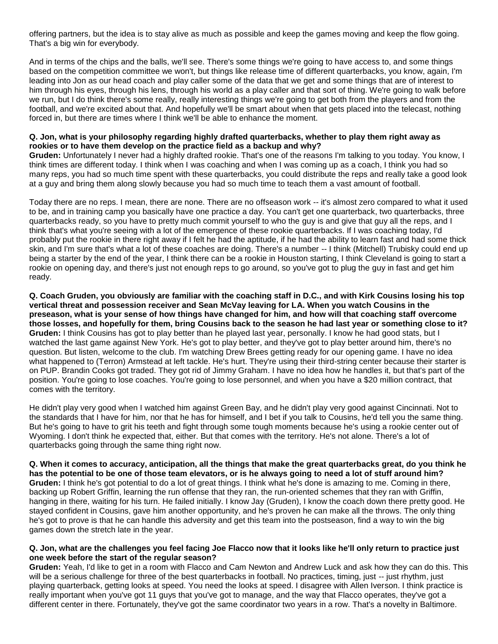offering partners, but the idea is to stay alive as much as possible and keep the games moving and keep the flow going. That's a big win for everybody.

And in terms of the chips and the balls, we'll see. There's some things we're going to have access to, and some things based on the competition committee we won't, but things like release time of different quarterbacks, you know, again, I'm leading into Jon as our head coach and play caller some of the data that we get and some things that are of interest to him through his eyes, through his lens, through his world as a play caller and that sort of thing. We're going to walk before we run, but I do think there's some really, really interesting things we're going to get both from the players and from the football, and we're excited about that. And hopefully we'll be smart about when that gets placed into the telecast, nothing forced in, but there are times where I think we'll be able to enhance the moment.

#### **Q. Jon, what is your philosophy regarding highly drafted quarterbacks, whether to play them right away as rookies or to have them develop on the practice field as a backup and why?**

**Gruden:** Unfortunately I never had a highly drafted rookie. That's one of the reasons I'm talking to you today. You know, I think times are different today. I think when I was coaching and when I was coming up as a coach, I think you had so many reps, you had so much time spent with these quarterbacks, you could distribute the reps and really take a good look at a guy and bring them along slowly because you had so much time to teach them a vast amount of football.

Today there are no reps. I mean, there are none. There are no offseason work -- it's almost zero compared to what it used to be, and in training camp you basically have one practice a day. You can't get one quarterback, two quarterbacks, three quarterbacks ready, so you have to pretty much commit yourself to who the guy is and give that guy all the reps, and I think that's what you're seeing with a lot of the emergence of these rookie quarterbacks. If I was coaching today, I'd probably put the rookie in there right away if I felt he had the aptitude, if he had the ability to learn fast and had some thick skin, and I'm sure that's what a lot of these coaches are doing. There's a number -- I think (Mitchell) Trubisky could end up being a starter by the end of the year, I think there can be a rookie in Houston starting, I think Cleveland is going to start a rookie on opening day, and there's just not enough reps to go around, so you've got to plug the guy in fast and get him ready.

**Q. Coach Gruden, you obviously are familiar with the coaching staff in D.C., and with Kirk Cousins losing his top vertical threat and possession receiver and Sean McVay leaving for LA. When you watch Cousins in the preseason, what is your sense of how things have changed for him, and how will that coaching staff overcome those losses, and hopefully for them, bring Cousins back to the season he had last year or something close to it? Gruden:** I think Cousins has got to play better than he played last year, personally. I know he had good stats, but I watched the last game against New York. He's got to play better, and they've got to play better around him, there's no question. But listen, welcome to the club. I'm watching Drew Brees getting ready for our opening game. I have no idea what happened to (Terron) Armstead at left tackle. He's hurt. They're using their third-string center because their starter is on PUP. Brandin Cooks got traded. They got rid of Jimmy Graham. I have no idea how he handles it, but that's part of the position. You're going to lose coaches. You're going to lose personnel, and when you have a \$20 million contract, that comes with the territory.

He didn't play very good when I watched him against Green Bay, and he didn't play very good against Cincinnati. Not to the standards that I have for him, nor that he has for himself, and I bet if you talk to Cousins, he'd tell you the same thing. But he's going to have to grit his teeth and fight through some tough moments because he's using a rookie center out of Wyoming. I don't think he expected that, either. But that comes with the territory. He's not alone. There's a lot of quarterbacks going through the same thing right now.

**Q. When it comes to accuracy, anticipation, all the things that make the great quarterbacks great, do you think he has the potential to be one of those team elevators, or is he always going to need a lot of stuff around him? Gruden:** I think he's got potential to do a lot of great things. I think what he's done is amazing to me. Coming in there, backing up Robert Griffin, learning the run offense that they ran, the run-oriented schemes that they ran with Griffin, hanging in there, waiting for his turn. He failed initially. I know Jay (Gruden), I know the coach down there pretty good. He stayed confident in Cousins, gave him another opportunity, and he's proven he can make all the throws. The only thing he's got to prove is that he can handle this adversity and get this team into the postseason, find a way to win the big games down the stretch late in the year.

#### **Q. Jon, what are the challenges you feel facing Joe Flacco now that it looks like he'll only return to practice just one week before the start of the regular season?**

**Gruden:** Yeah, I'd like to get in a room with Flacco and Cam Newton and Andrew Luck and ask how they can do this. This will be a serious challenge for three of the best quarterbacks in football. No practices, timing, just -- just rhythm, just playing quarterback, getting looks at speed. You need the looks at speed. I disagree with Allen Iverson. I think practice is really important when you've got 11 guys that you've got to manage, and the way that Flacco operates, they've got a different center in there. Fortunately, they've got the same coordinator two years in a row. That's a novelty in Baltimore.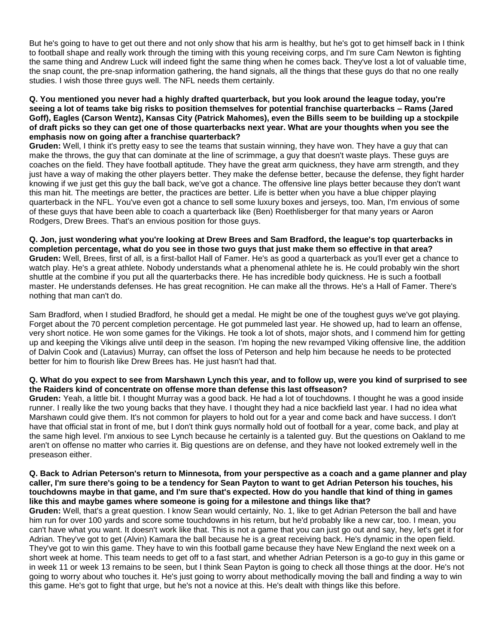But he's going to have to get out there and not only show that his arm is healthy, but he's got to get himself back in I think to football shape and really work through the timing with this young receiving corps, and I'm sure Cam Newton is fighting the same thing and Andrew Luck will indeed fight the same thing when he comes back. They've lost a lot of valuable time, the snap count, the pre-snap information gathering, the hand signals, all the things that these guys do that no one really studies. I wish those three guys well. The NFL needs them certainly.

#### **Q. You mentioned you never had a highly drafted quarterback, but you look around the league today, you're seeing a lot of teams take big risks to position themselves for potential franchise quarterbacks – Rams (Jared Goff), Eagles (Carson Wentz), Kansas City (Patrick Mahomes), even the Bills seem to be building up a stockpile of draft picks so they can get one of those quarterbacks next year. What are your thoughts when you see the emphasis now on going after a franchise quarterback?**

**Gruden:** Well, I think it's pretty easy to see the teams that sustain winning, they have won. They have a guy that can make the throws, the guy that can dominate at the line of scrimmage, a guy that doesn't waste plays. These guys are coaches on the field. They have football aptitude. They have the great arm quickness, they have arm strength, and they just have a way of making the other players better. They make the defense better, because the defense, they fight harder knowing if we just get this guy the ball back, we've got a chance. The offensive line plays better because they don't want this man hit. The meetings are better, the practices are better. Life is better when you have a blue chipper playing quarterback in the NFL. You've even got a chance to sell some luxury boxes and jerseys, too. Man, I'm envious of some of these guys that have been able to coach a quarterback like (Ben) Roethlisberger for that many years or Aaron Rodgers, Drew Brees. That's an envious position for those guys.

**Q. Jon, just wondering what you're looking at Drew Brees and Sam Bradford, the league's top quarterbacks in completion percentage, what do you see in those two guys that just make them so effective in that area? Gruden:** Well, Brees, first of all, is a first-ballot Hall of Famer. He's as good a quarterback as you'll ever get a chance to watch play. He's a great athlete. Nobody understands what a phenomenal athlete he is. He could probably win the short shuttle at the combine if you put all the quarterbacks there. He has incredible body quickness. He is such a football master. He understands defenses. He has great recognition. He can make all the throws. He's a Hall of Famer. There's nothing that man can't do.

Sam Bradford, when I studied Bradford, he should get a medal. He might be one of the toughest guys we've got playing. Forget about the 70 percent completion percentage. He got pummeled last year. He showed up, had to learn an offense, very short notice. He won some games for the Vikings. He took a lot of shots, major shots, and I commend him for getting up and keeping the Vikings alive until deep in the season. I'm hoping the new revamped Viking offensive line, the addition of Dalvin Cook and (Latavius) Murray, can offset the loss of Peterson and help him because he needs to be protected better for him to flourish like Drew Brees has. He just hasn't had that.

#### **Q. What do you expect to see from Marshawn Lynch this year, and to follow up, were you kind of surprised to see the Raiders kind of concentrate on offense more than defense this last offseason?**

**Gruden:** Yeah, a little bit. I thought Murray was a good back. He had a lot of touchdowns. I thought he was a good inside runner. I really like the two young backs that they have. I thought they had a nice backfield last year. I had no idea what Marshawn could give them. It's not common for players to hold out for a year and come back and have success. I don't have that official stat in front of me, but I don't think guys normally hold out of football for a year, come back, and play at the same high level. I'm anxious to see Lynch because he certainly is a talented guy. But the questions on Oakland to me aren't on offense no matter who carries it. Big questions are on defense, and they have not looked extremely well in the preseason either.

#### **Q. Back to Adrian Peterson's return to Minnesota, from your perspective as a coach and a game planner and play caller, I'm sure there's going to be a tendency for Sean Payton to want to get Adrian Peterson his touches, his touchdowns maybe in that game, and I'm sure that's expected. How do you handle that kind of thing in games like this and maybe games where someone is going for a milestone and things like that?**

**Gruden:** Well, that's a great question. I know Sean would certainly, No. 1, like to get Adrian Peterson the ball and have him run for over 100 yards and score some touchdowns in his return, but he'd probably like a new car, too. I mean, you can't have what you want. It doesn't work like that. This is not a game that you can just go out and say, hey, let's get it for Adrian. They've got to get (Alvin) Kamara the ball because he is a great receiving back. He's dynamic in the open field. They've got to win this game. They have to win this football game because they have New England the next week on a short week at home. This team needs to get off to a fast start, and whether Adrian Peterson is a go-to guy in this game or in week 11 or week 13 remains to be seen, but I think Sean Payton is going to check all those things at the door. He's not going to worry about who touches it. He's just going to worry about methodically moving the ball and finding a way to win this game. He's got to fight that urge, but he's not a novice at this. He's dealt with things like this before.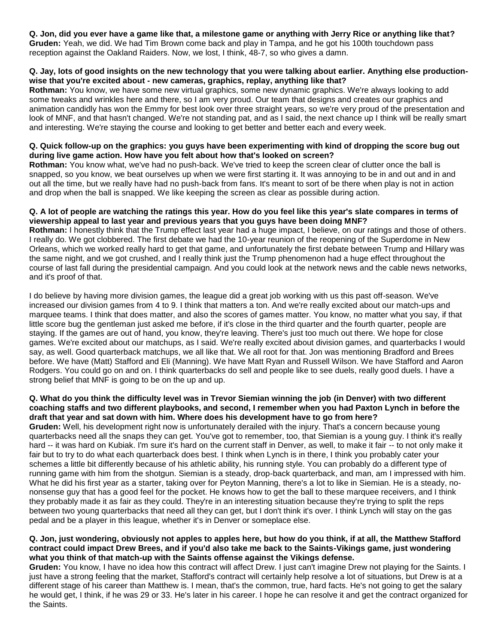**Q. Jon, did you ever have a game like that, a milestone game or anything with Jerry Rice or anything like that? Gruden:** Yeah, we did. We had Tim Brown come back and play in Tampa, and he got his 100th touchdown pass reception against the Oakland Raiders. Now, we lost, I think, 48-7, so who gives a damn.

### **Q. Jay, lots of good insights on the new technology that you were talking about earlier. Anything else productionwise that you're excited about - new cameras, graphics, replay, anything like that?**

**Rothman:** You know, we have some new virtual graphics, some new dynamic graphics. We're always looking to add some tweaks and wrinkles here and there, so I am very proud. Our team that designs and creates our graphics and animation candidly has won the Emmy for best look over three straight years, so we're very proud of the presentation and look of MNF, and that hasn't changed. We're not standing pat, and as I said, the next chance up I think will be really smart and interesting. We're staying the course and looking to get better and better each and every week.

### **Q. Quick follow-up on the graphics: you guys have been experimenting with kind of dropping the score bug out during live game action. How have you felt about how that's looked on screen?**

**Rothman:** You know what, we've had no push-back. We've tried to keep the screen clear of clutter once the ball is snapped, so you know, we beat ourselves up when we were first starting it. It was annoying to be in and out and in and out all the time, but we really have had no push-back from fans. It's meant to sort of be there when play is not in action and drop when the ball is snapped. We like keeping the screen as clear as possible during action.

### **Q. A lot of people are watching the ratings this year. How do you feel like this year's slate compares in terms of viewership appeal to last year and previous years that you guys have been doing MNF?**

**Rothman:** I honestly think that the Trump effect last year had a huge impact, I believe, on our ratings and those of others. I really do. We got clobbered. The first debate we had the 10-year reunion of the reopening of the Superdome in New Orleans, which we worked really hard to get that game, and unfortunately the first debate between Trump and Hillary was the same night, and we got crushed, and I really think just the Trump phenomenon had a huge effect throughout the course of last fall during the presidential campaign. And you could look at the network news and the cable news networks, and it's proof of that.

I do believe by having more division games, the league did a great job working with us this past off-season. We've increased our division games from 4 to 9. I think that matters a ton. And we're really excited about our match-ups and marquee teams. I think that does matter, and also the scores of games matter. You know, no matter what you say, if that little score bug the gentleman just asked me before, if it's close in the third quarter and the fourth quarter, people are staying. If the games are out of hand, you know, they're leaving. There's just too much out there. We hope for close games. We're excited about our matchups, as I said. We're really excited about division games, and quarterbacks I would say, as well. Good quarterback matchups, we all like that. We all root for that. Jon was mentioning Bradford and Brees before. We have (Matt) Stafford and Eli (Manning). We have Matt Ryan and Russell Wilson. We have Stafford and Aaron Rodgers. You could go on and on. I think quarterbacks do sell and people like to see duels, really good duels. I have a strong belief that MNF is going to be on the up and up.

### **Q. What do you think the difficulty level was in Trevor Siemian winning the job (in Denver) with two different coaching staffs and two different playbooks, and second, I remember when you had Paxton Lynch in before the draft that year and sat down with him. Where does his development have to go from here?**

**Gruden:** Well, his development right now is unfortunately derailed with the injury. That's a concern because young quarterbacks need all the snaps they can get. You've got to remember, too, that Siemian is a young guy. I think it's really hard -- it was hard on Kubiak. I'm sure it's hard on the current staff in Denver, as well, to make it fair -- to not only make it fair but to try to do what each quarterback does best. I think when Lynch is in there, I think you probably cater your schemes a little bit differently because of his athletic ability, his running style. You can probably do a different type of running game with him from the shotgun. Siemian is a steady, drop-back quarterback, and man, am I impressed with him. What he did his first year as a starter, taking over for Peyton Manning, there's a lot to like in Siemian. He is a steady, nononsense guy that has a good feel for the pocket. He knows how to get the ball to these marquee receivers, and I think they probably made it as fair as they could. They're in an interesting situation because they're trying to split the reps between two young quarterbacks that need all they can get, but I don't think it's over. I think Lynch will stay on the gas pedal and be a player in this league, whether it's in Denver or someplace else.

## **Q. Jon, just wondering, obviously not apples to apples here, but how do you think, if at all, the Matthew Stafford contract could impact Drew Brees, and if you'd also take me back to the Saints-Vikings game, just wondering what you think of that match-up with the Saints offense against the Vikings defense.**

**Gruden:** You know, I have no idea how this contract will affect Drew. I just can't imagine Drew not playing for the Saints. I just have a strong feeling that the market, Stafford's contract will certainly help resolve a lot of situations, but Drew is at a different stage of his career than Matthew is. I mean, that's the common, true, hard facts. He's not going to get the salary he would get, I think, if he was 29 or 33. He's later in his career. I hope he can resolve it and get the contract organized for the Saints.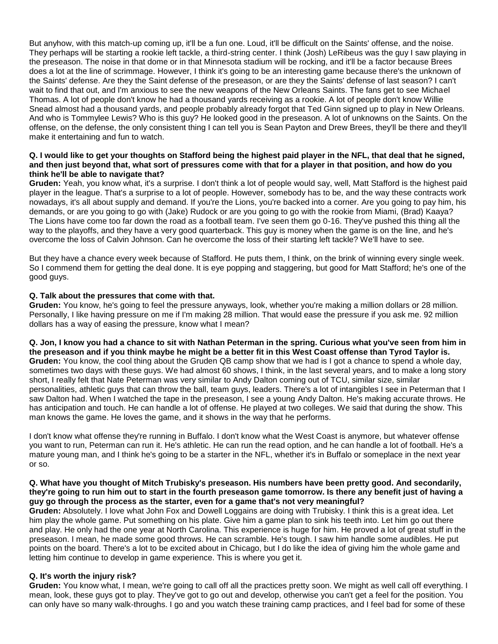But anyhow, with this match-up coming up, it'll be a fun one. Loud, it'll be difficult on the Saints' offense, and the noise. They perhaps will be starting a rookie left tackle, a third-string center. I think (Josh) LeRibeus was the guy I saw playing in the preseason. The noise in that dome or in that Minnesota stadium will be rocking, and it'll be a factor because Brees does a lot at the line of scrimmage. However, I think it's going to be an interesting game because there's the unknown of the Saints' defense. Are they the Saint defense of the preseason, or are they the Saints' defense of last season? I can't wait to find that out, and I'm anxious to see the new weapons of the New Orleans Saints. The fans get to see Michael Thomas. A lot of people don't know he had a thousand yards receiving as a rookie. A lot of people don't know Willie Snead almost had a thousand yards, and people probably already forgot that Ted Ginn signed up to play in New Orleans. And who is Tommylee Lewis? Who is this guy? He looked good in the preseason. A lot of unknowns on the Saints. On the offense, on the defense, the only consistent thing I can tell you is Sean Payton and Drew Brees, they'll be there and they'll make it entertaining and fun to watch.

#### **Q. I would like to get your thoughts on Stafford being the highest paid player in the NFL, that deal that he signed, and then just beyond that, what sort of pressures come with that for a player in that position, and how do you think he'll be able to navigate that?**

**Gruden:** Yeah, you know what, it's a surprise. I don't think a lot of people would say, well, Matt Stafford is the highest paid player in the league. That's a surprise to a lot of people. However, somebody has to be, and the way these contracts work nowadays, it's all about supply and demand. If you're the Lions, you're backed into a corner. Are you going to pay him, his demands, or are you going to go with (Jake) Rudock or are you going to go with the rookie from Miami, (Brad) Kaaya? The Lions have come too far down the road as a football team. I've seen them go 0-16. They've pushed this thing all the way to the playoffs, and they have a very good quarterback. This guy is money when the game is on the line, and he's overcome the loss of Calvin Johnson. Can he overcome the loss of their starting left tackle? We'll have to see.

But they have a chance every week because of Stafford. He puts them, I think, on the brink of winning every single week. So I commend them for getting the deal done. It is eye popping and staggering, but good for Matt Stafford; he's one of the good guys.

### **Q. Talk about the pressures that come with that.**

**Gruden:** You know, he's going to feel the pressure anyways, look, whether you're making a million dollars or 28 million. Personally, I like having pressure on me if I'm making 28 million. That would ease the pressure if you ask me. 92 million dollars has a way of easing the pressure, know what I mean?

**Q. Jon, I know you had a chance to sit with Nathan Peterman in the spring. Curious what you've seen from him in the preseason and if you think maybe he might be a better fit in this West Coast offense than Tyrod Taylor is. Gruden:** You know, the cool thing about the Gruden QB camp show that we had is I got a chance to spend a whole day, sometimes two days with these guys. We had almost 60 shows, I think, in the last several years, and to make a long story short, I really felt that Nate Peterman was very similar to Andy Dalton coming out of TCU, similar size, similar personalities, athletic guys that can throw the ball, team guys, leaders. There's a lot of intangibles I see in Peterman that I saw Dalton had. When I watched the tape in the preseason, I see a young Andy Dalton. He's making accurate throws. He has anticipation and touch. He can handle a lot of offense. He played at two colleges. We said that during the show. This man knows the game. He loves the game, and it shows in the way that he performs.

I don't know what offense they're running in Buffalo. I don't know what the West Coast is anymore, but whatever offense you want to run, Peterman can run it. He's athletic. He can run the read option, and he can handle a lot of football. He's a mature young man, and I think he's going to be a starter in the NFL, whether it's in Buffalo or someplace in the next year or so.

#### **Q. What have you thought of Mitch Trubisky's preseason. His numbers have been pretty good. And secondarily, they're going to run him out to start in the fourth preseason game tomorrow. Is there any benefit just of having a guy go through the process as the starter, even for a game that's not very meaningful?**

**Gruden:** Absolutely. I love what John Fox and Dowell Loggains are doing with Trubisky. I think this is a great idea. Let him play the whole game. Put something on his plate. Give him a game plan to sink his teeth into. Let him go out there and play. He only had the one year at North Carolina. This experience is huge for him. He proved a lot of great stuff in the preseason. I mean, he made some good throws. He can scramble. He's tough. I saw him handle some audibles. He put points on the board. There's a lot to be excited about in Chicago, but I do like the idea of giving him the whole game and letting him continue to develop in game experience. This is where you get it.

# **Q. It's worth the injury risk?**

**Gruden:** You know what, I mean, we're going to call off all the practices pretty soon. We might as well call off everything. I mean, look, these guys got to play. They've got to go out and develop, otherwise you can't get a feel for the position. You can only have so many walk-throughs. I go and you watch these training camp practices, and I feel bad for some of these